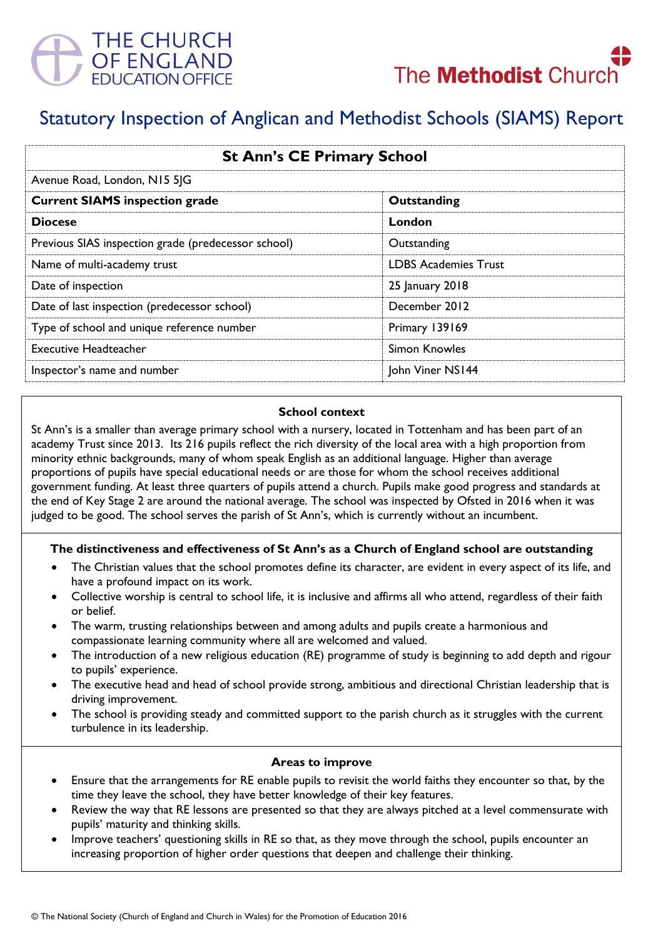



# Statutory Inspection of Anglican and Methodist Schools (SIAMS) Report

| <b>St Ann's CE Primary School</b><br>Avenue Road, London, N15 5JG |                             |
|-------------------------------------------------------------------|-----------------------------|
|                                                                   |                             |
| <b>Diocese</b>                                                    | London                      |
| Previous SIAS inspection grade (predecessor school)               | Outstanding                 |
| Name of multi-academy trust                                       | <b>LDBS Academies Trust</b> |
| Date of inspection                                                | 25 January 2018             |
| Date of last inspection (predecessor school)                      | December 2012               |
| Type of school and unique reference number                        | Primary 139169              |
| <b>Executive Headteacher</b>                                      | Simon Knowles               |
| Inspector's name and number                                       | John Viner NS144            |

#### **School context**

St Ann's is a smaller than average primary school with a nursery, located in Tottenham and has been part of an academy Trust since 2013. Its 216 pupils reflect the rich diversity of the local area with a high proportion from minority ethnic backgrounds, many of whom speak English as an additional language. Higher than average proportions of pupils have special educational needs or are those for whom the school receives additional government funding. At least three quarters of pupils attend a church. Pupils make good progress and standards at the end of Key Stage 2 are around the national average. The school was inspected by Ofsted in 2016 when it was judged to be good. The school serves the parish of St Ann's, which is currently without an incumbent.

## **The distinctiveness and effectiveness of St Ann's as a Church of England school are outstanding**

- The Christian values that the school promotes define its character, are evident in every aspect of its life, and have a profound impact on its work.
- Collective worship is central to school life, it is inclusive and affirms all who attend, regardless of their faith or belief.
- The warm, trusting relationships between and among adults and pupils create a harmonious and compassionate learning community where all are welcomed and valued.
- The introduction of a new religious education (RE) programme of study is beginning to add depth and rigour to pupils' experience.
- The executive head and head of school provide strong, ambitious and directional Christian leadership that is driving improvement.
- The school is providing steady and committed support to the parish church as it struggles with the current turbulence in its leadership.

#### **Areas to improve**

- Ensure that the arrangements for RE enable pupils to revisit the world faiths they encounter so that, by the time they leave the school, they have better knowledge of their key features.
- Review the way that RE lessons are presented so that they are always pitched at a level commensurate with pupils' maturity and thinking skills.
- Improve teachers' questioning skills in RE so that, as they move through the school, pupils encounter an increasing proportion of higher order questions that deepen and challenge their thinking.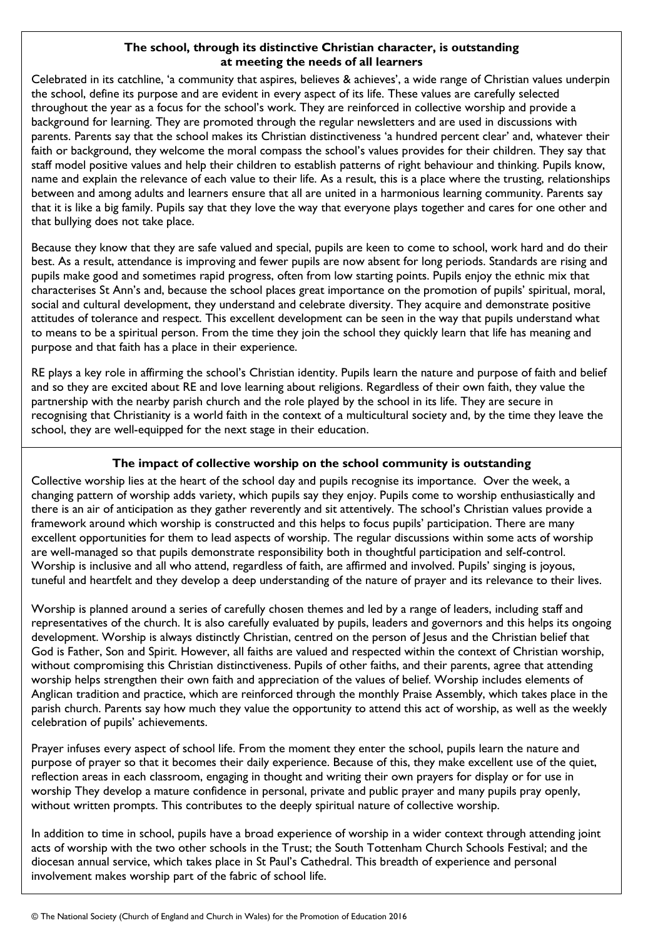## **The school, through its distinctive Christian character, is outstanding at meeting the needs of all learners**

Celebrated in its catchline, 'a community that aspires, believes & achieves', a wide range of Christian values underpin the school, define its purpose and are evident in every aspect of its life. These values are carefully selected throughout the year as a focus for the school's work. They are reinforced in collective worship and provide a background for learning. They are promoted through the regular newsletters and are used in discussions with parents. Parents say that the school makes its Christian distinctiveness 'a hundred percent clear' and, whatever their faith or background, they welcome the moral compass the school's values provides for their children. They say that staff model positive values and help their children to establish patterns of right behaviour and thinking. Pupils know, name and explain the relevance of each value to their life. As a result, this is a place where the trusting, relationships between and among adults and learners ensure that all are united in a harmonious learning community. Parents say that it is like a big family. Pupils say that they love the way that everyone plays together and cares for one other and that bullying does not take place.

Because they know that they are safe valued and special, pupils are keen to come to school, work hard and do their best. As a result, attendance is improving and fewer pupils are now absent for long periods. Standards are rising and pupils make good and sometimes rapid progress, often from low starting points. Pupils enjoy the ethnic mix that characterises St Ann's and, because the school places great importance on the promotion of pupils' spiritual, moral, social and cultural development, they understand and celebrate diversity. They acquire and demonstrate positive attitudes of tolerance and respect. This excellent development can be seen in the way that pupils understand what to means to be a spiritual person. From the time they join the school they quickly learn that life has meaning and purpose and that faith has a place in their experience.

RE plays a key role in affirming the school's Christian identity. Pupils learn the nature and purpose of faith and belief and so they are excited about RE and love learning about religions. Regardless of their own faith, they value the partnership with the nearby parish church and the role played by the school in its life. They are secure in recognising that Christianity is a world faith in the context of a multicultural society and, by the time they leave the school, they are well-equipped for the next stage in their education.

## **The impact of collective worship on the school community is outstanding**

Collective worship lies at the heart of the school day and pupils recognise its importance. Over the week, a changing pattern of worship adds variety, which pupils say they enjoy. Pupils come to worship enthusiastically and there is an air of anticipation as they gather reverently and sit attentively. The school's Christian values provide a framework around which worship is constructed and this helps to focus pupils' participation. There are many excellent opportunities for them to lead aspects of worship. The regular discussions within some acts of worship are well-managed so that pupils demonstrate responsibility both in thoughtful participation and self-control. Worship is inclusive and all who attend, regardless of faith, are affirmed and involved. Pupils' singing is joyous, tuneful and heartfelt and they develop a deep understanding of the nature of prayer and its relevance to their lives.

Worship is planned around a series of carefully chosen themes and led by a range of leaders, including staff and representatives of the church. It is also carefully evaluated by pupils, leaders and governors and this helps its ongoing development. Worship is always distinctly Christian, centred on the person of Jesus and the Christian belief that God is Father, Son and Spirit. However, all faiths are valued and respected within the context of Christian worship, without compromising this Christian distinctiveness. Pupils of other faiths, and their parents, agree that attending worship helps strengthen their own faith and appreciation of the values of belief. Worship includes elements of Anglican tradition and practice, which are reinforced through the monthly Praise Assembly, which takes place in the parish church. Parents say how much they value the opportunity to attend this act of worship, as well as the weekly celebration of pupils' achievements.

Prayer infuses every aspect of school life. From the moment they enter the school, pupils learn the nature and purpose of prayer so that it becomes their daily experience. Because of this, they make excellent use of the quiet, reflection areas in each classroom, engaging in thought and writing their own prayers for display or for use in worship They develop a mature confidence in personal, private and public prayer and many pupils pray openly, without written prompts. This contributes to the deeply spiritual nature of collective worship.

In addition to time in school, pupils have a broad experience of worship in a wider context through attending joint acts of worship with the two other schools in the Trust; the South Tottenham Church Schools Festival; and the diocesan annual service, which takes place in St Paul's Cathedral. This breadth of experience and personal involvement makes worship part of the fabric of school life.